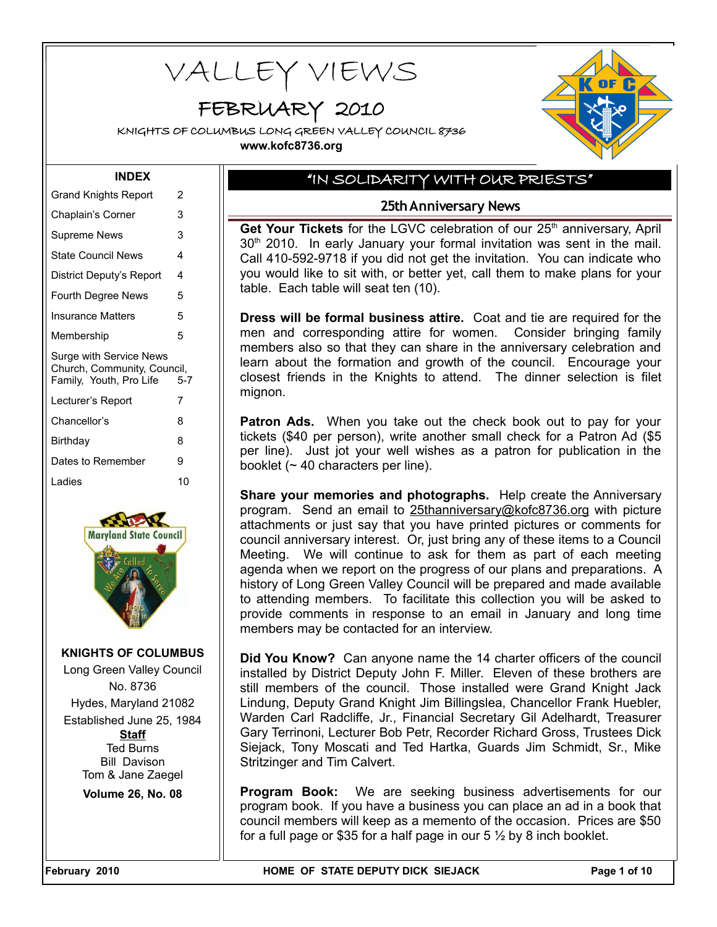VALLEY VIEWS

# FEBRUARY 2010

KNIGHTS OF COLUMBUS LONG GREEN VALLEY COUNCIL 8736 **www.kofc8736.org**



#### **INDEX**

| <b>Grand Knights Report</b>                                                       | 2   |
|-----------------------------------------------------------------------------------|-----|
| Chaplain's Corner                                                                 | 3   |
| Supreme News                                                                      | 3   |
| <b>State Council News</b>                                                         | 4   |
| District Deputy's Report                                                          | 4   |
| <b>Fourth Degree News</b>                                                         | 5   |
| Insurance Matters                                                                 | 5   |
| Membership                                                                        | 5   |
|                                                                                   |     |
| Surge with Service News<br>Church, Community, Council,<br>Family, Youth, Pro Life | 5-7 |
| Lecturer's Report                                                                 | 7   |
| Chancellor's                                                                      | 8   |
| Birthday                                                                          | 8   |
| Dates to Remember                                                                 | 9   |
| I adies                                                                           | 10  |



**KNIGHTS OF COLUMBUS** Long Green Valley Council No. 8736 Hydes, Maryland 21082 Established June 25, 1984 **Staff** Ted Burns Bill Davison Tom & Jane Zaegel **Volume 26, No. 08**

# "IN SOLIDARITY WITH OUR PRIESTS"

### **25th Anniversary News**

Get Your Tickets for the LGVC celebration of our 25<sup>th</sup> anniversary, April  $30<sup>th</sup>$  2010. In early January your formal invitation was sent in the mail. Call 410-592-9718 if you did not get the invitation. You can indicate who you would like to sit with, or better yet, call them to make plans for your table. Each table will seat ten (10).

**Dress will be formal business attire.** Coat and tie are required for the men and corresponding attire for women. Consider bringing family members also so that they can share in the anniversary celebration and learn about the formation and growth of the council. Encourage your closest friends in the Knights to attend. The dinner selection is filet mignon.

**Patron Ads.** When you take out the check book out to pay for your tickets (\$40 per person), write another small check for a Patron Ad (\$5 per line). Just jot your well wishes as a patron for publication in the booklet ( $\sim$  40 characters per line).

**Share your memories and photographs.** Help create the Anniversary program. Send an email to [25thanniversary@kofc8736.org](mailto:25thanniversary@kofc8736.org) with picture attachments or just say that you have printed pictures or comments for council anniversary interest. Or, just bring any of these items to a Council Meeting. We will continue to ask for them as part of each meeting agenda when we report on the progress of our plans and preparations. A history of Long Green Valley Council will be prepared and made available to attending members. To facilitate this collection you will be asked to provide comments in response to an email in January and long time members may be contacted for an interview.

**Did You Know?** Can anyone name the 14 charter officers of the council installed by District Deputy John F. Miller. Eleven of these brothers are still members of the council. Those installed were Grand Knight Jack Lindung, Deputy Grand Knight Jim Billingslea, Chancellor Frank Huebler, Warden Carl Radcliffe, Jr., Financial Secretary Gil Adelhardt, Treasurer Gary Terrinoni, Lecturer Bob Petr, Recorder Richard Gross, Trustees Dick Siejack, Tony Moscati and Ted Hartka, Guards Jim Schmidt, Sr., Mike Stritzinger and Tim Calvert.

**Program Book:** We are seeking business advertisements for our program book. If you have a business you can place an ad in a book that council members will keep as a memento of the occasion. Prices are \$50 for a full page or \$35 for a half page in our  $5\frac{1}{2}$  by 8 inch booklet.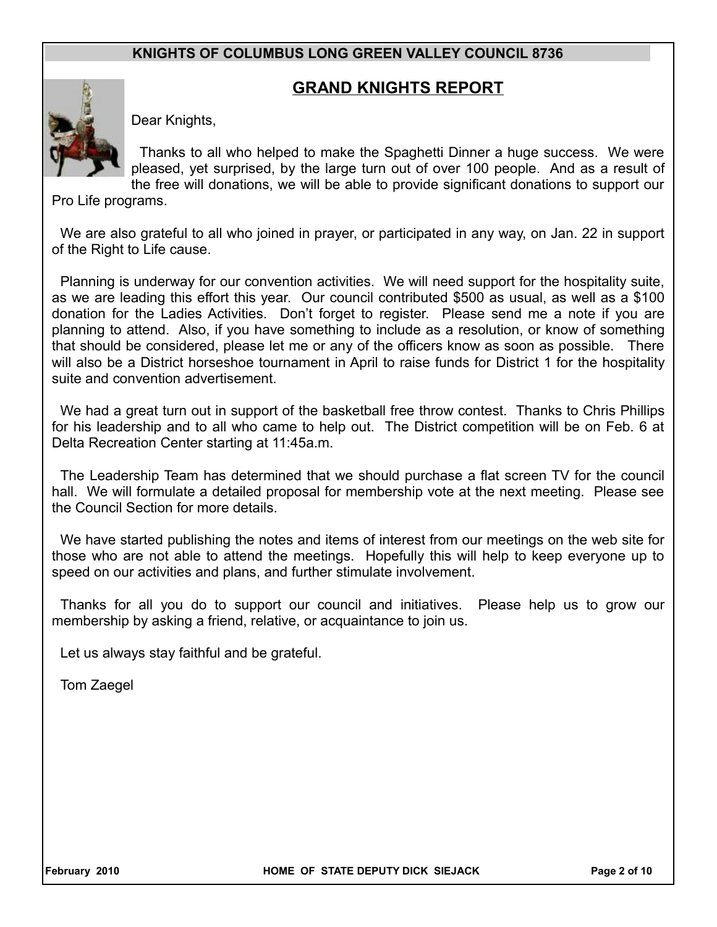# **GRAND KNIGHTS REPORT**



Dear Knights,

Thanks to all who helped to make the Spaghetti Dinner a huge success. We were pleased, yet surprised, by the large turn out of over 100 people. And as a result of the free will donations, we will be able to provide significant donations to support our

Pro Life programs.

We are also grateful to all who joined in prayer, or participated in any way, on Jan. 22 in support of the Right to Life cause.

Planning is underway for our convention activities. We will need support for the hospitality suite, as we are leading this effort this year. Our council contributed \$500 as usual, as well as a \$100 donation for the Ladies Activities. Don't forget to register. Please send me a note if you are planning to attend. Also, if you have something to include as a resolution, or know of something that should be considered, please let me or any of the officers know as soon as possible. There will also be a District horseshoe tournament in April to raise funds for District 1 for the hospitality suite and convention advertisement.

We had a great turn out in support of the basketball free throw contest. Thanks to Chris Phillips for his leadership and to all who came to help out. The District competition will be on Feb. 6 at Delta Recreation Center starting at 11:45a.m.

The Leadership Team has determined that we should purchase a flat screen TV for the council hall. We will formulate a detailed proposal for membership vote at the next meeting. Please see the Council Section for more details.

We have started publishing the notes and items of interest from our meetings on the web site for those who are not able to attend the meetings. Hopefully this will help to keep everyone up to speed on our activities and plans, and further stimulate involvement.

Thanks for all you do to support our council and initiatives. Please help us to grow our membership by asking a friend, relative, or acquaintance to join us.

Let us always stay faithful and be grateful.

Tom Zaegel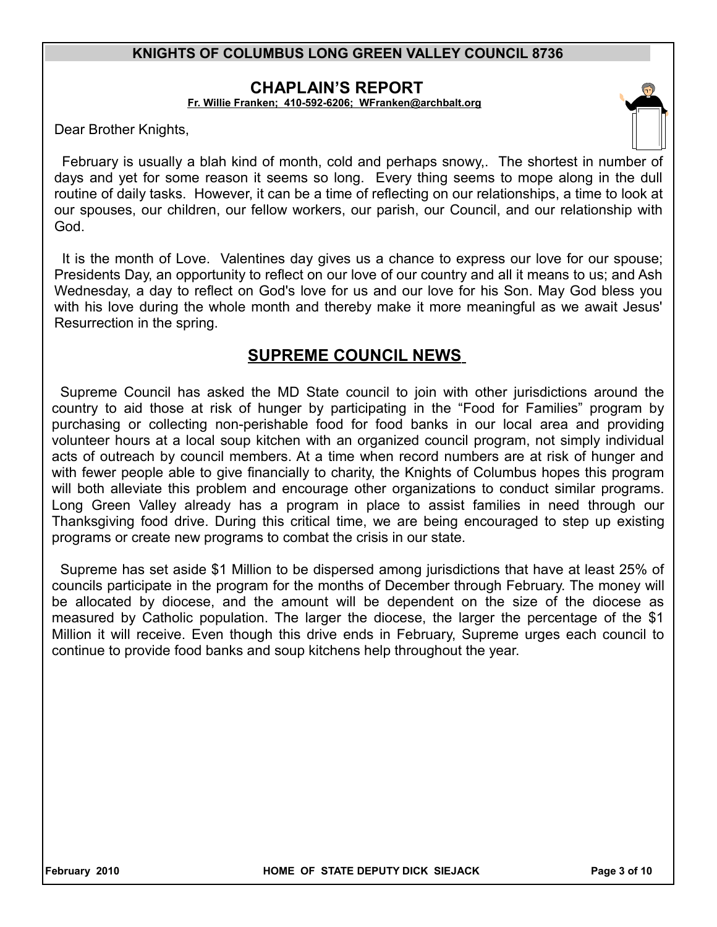### **CHAPLAIN'S REPORT**

**Fr. Willie Franken; 410-592-6206; [WFranken@archbalt.org](mailto:WFranken@archbalt.org)**

Dear Brother Knights,

February is usually a blah kind of month, cold and perhaps snowy,. The shortest in number of days and yet for some reason it seems so long. Every thing seems to mope along in the dull routine of daily tasks. However, it can be a time of reflecting on our relationships, a time to look at our spouses, our children, our fellow workers, our parish, our Council, and our relationship with God.

It is the month of Love. Valentines day gives us a chance to express our love for our spouse; Presidents Day, an opportunity to reflect on our love of our country and all it means to us; and Ash Wednesday, a day to reflect on God's love for us and our love for his Son. May God bless you with his love during the whole month and thereby make it more meaningful as we await Jesus' Resurrection in the spring.

# **SUPREME COUNCIL NEWS**

Supreme Council has asked the MD State council to join with other jurisdictions around the country to aid those at risk of hunger by participating in the "Food for Families" program by purchasing or collecting non-perishable food for food banks in our local area and providing volunteer hours at a local soup kitchen with an organized council program, not simply individual acts of outreach by council members. At a time when record numbers are at risk of hunger and with fewer people able to give financially to charity, the Knights of Columbus hopes this program will both alleviate this problem and encourage other organizations to conduct similar programs. Long Green Valley already has a program in place to assist families in need through our Thanksgiving food drive. During this critical time, we are being encouraged to step up existing programs or create new programs to combat the crisis in our state.

Supreme has set aside \$1 Million to be dispersed among jurisdictions that have at least 25% of councils participate in the program for the months of December through February. The money will be allocated by diocese, and the amount will be dependent on the size of the diocese as measured by Catholic population. The larger the diocese, the larger the percentage of the \$1 Million it will receive. Even though this drive ends in February, Supreme urges each council to continue to provide food banks and soup kitchens help throughout the year.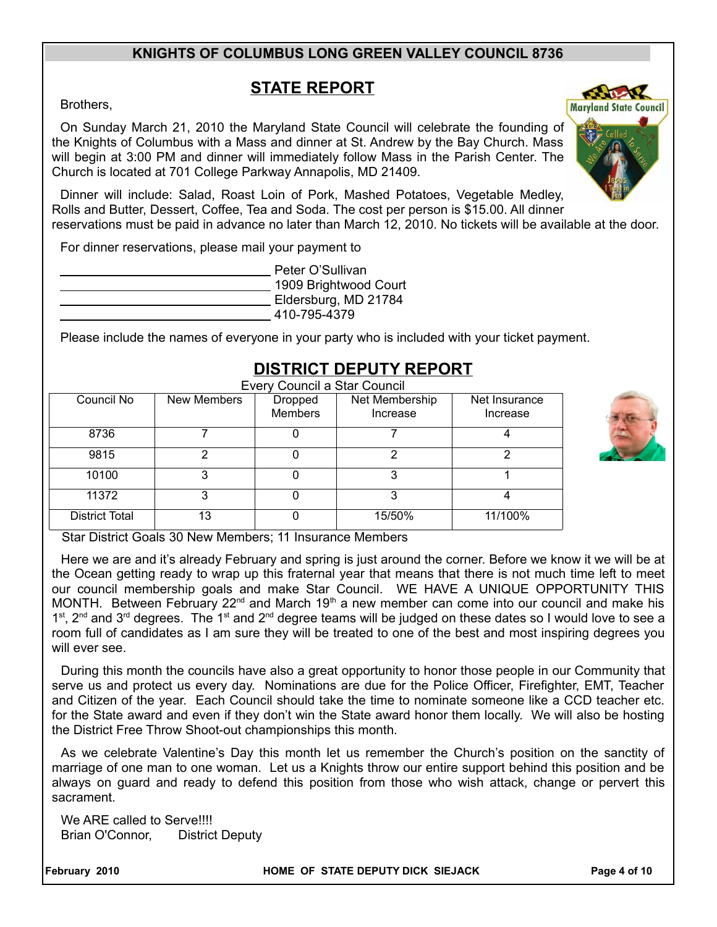# **STATE REPORT**

Brothers,

On Sunday March 21, 2010 the Maryland State Council will celebrate the founding of the Knights of Columbus with a Mass and dinner at St. Andrew by the Bay Church. Mass will begin at 3:00 PM and dinner will immediately follow Mass in the Parish Center. The Church is located at 701 College Parkway Annapolis, MD 21409.

Dinner will include: Salad, Roast Loin of Pork, Mashed Potatoes, Vegetable Medley, Rolls and Butter, Dessert, Coffee, Tea and Soda. The cost per person is \$15.00. All dinner reservations must be paid in advance no later than March 12, 2010. No tickets will be available at the door.

For dinner reservations, please mail your payment to

 Peter O'Sullivan 1909 Brightwood Court Eldersburg, MD 21784 410-795-4379

Please include the names of everyone in your party who is included with your ticket payment.

| Every Council a Star Council |             |                           |                            |                           |  |  |
|------------------------------|-------------|---------------------------|----------------------------|---------------------------|--|--|
| Council No                   | New Members | Dropped<br><b>Members</b> | Net Membership<br>Increase | Net Insurance<br>Increase |  |  |
| 8736                         |             |                           |                            |                           |  |  |
| 9815                         | 2           |                           | າ                          | っ                         |  |  |
| 10100                        | 3           |                           | 3                          |                           |  |  |
| 11372                        | 3           |                           | 3                          |                           |  |  |
| <b>District Total</b>        | 13          |                           | 15/50%                     | 11/100%                   |  |  |

# **DISTRICT DEPUTY REPORT**

Star District Goals 30 New Members; 11 Insurance Members

Here we are and it's already February and spring is just around the corner. Before we know it we will be at the Ocean getting ready to wrap up this fraternal year that means that there is not much time left to meet our council membership goals and make Star Council. WE HAVE A UNIQUE OPPORTUNITY THIS MONTH. Between February  $22^{nd}$  and March 19<sup>th</sup> a new member can come into our council and make his  $1<sup>st</sup>$ ,  $2<sup>nd</sup>$  and  $3<sup>rd</sup>$  degrees. The 1<sup>st</sup> and  $2<sup>nd</sup>$  degree teams will be judged on these dates so I would love to see a room full of candidates as I am sure they will be treated to one of the best and most inspiring degrees you will ever see.

During this month the councils have also a great opportunity to honor those people in our Community that serve us and protect us every day. Nominations are due for the Police Officer, Firefighter, EMT, Teacher and Citizen of the year. Each Council should take the time to nominate someone like a CCD teacher etc. for the State award and even if they don't win the State award honor them locally. We will also be hosting the District Free Throw Shoot-out championships this month.

As we celebrate Valentine's Day this month let us remember the Church's position on the sanctity of marriage of one man to one woman. Let us a Knights throw our entire support behind this position and be always on guard and ready to defend this position from those who wish attack, change or pervert this sacrament.

We ARE called to Serve!!!! Brian O'Connor, District Deputy

**February 2010 HOME OF STATE DEPUTY DICK SIEJACK Page 4 of 10**





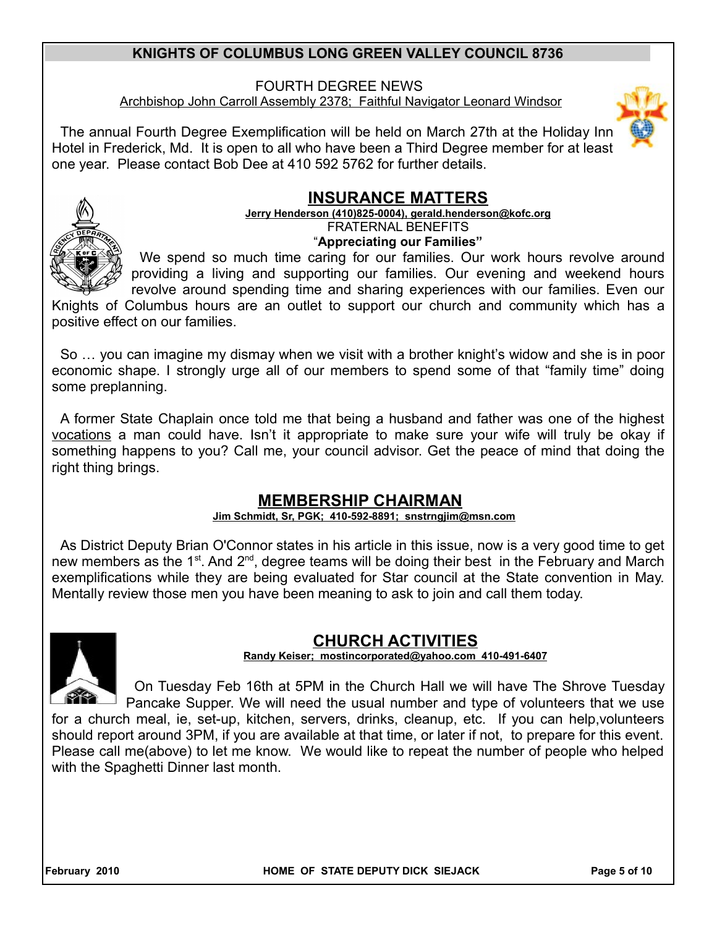### FOURTH DEGREE NEWS Archbishop John Carroll Assembly 2378; Faithful Navigator Leonard Windsor

The annual Fourth Degree Exemplification will be held on March 27th at the Holiday Inn Hotel in Frederick, Md. It is open to all who have been a Third Degree member for at least one year. Please contact Bob Dee at 410 592 5762 for further details.

# **INSURANCE MATTERS**

#### **Jerry Henderson (410)825-0004), gerald.henderson@kofc.org** FRATERNAL BENEFITS "**Appreciating our Families"**



We spend so much time caring for our families. Our work hours revolve around providing a living and supporting our families. Our evening and weekend hours revolve around spending time and sharing experiences with our families. Even our

Knights of Columbus hours are an outlet to support our church and community which has a positive effect on our families.

So … you can imagine my dismay when we visit with a brother knight's widow and she is in poor economic shape. I strongly urge all of our members to spend some of that "family time" doing some preplanning.

A former State Chaplain once told me that being a husband and father was one of the highest vocations a man could have. Isn't it appropriate to make sure your wife will truly be okay if something happens to you? Call me, your council advisor. Get the peace of mind that doing the right thing brings.

# **MEMBERSHIP CHAIRMAN**

### **Jim Schmidt, Sr, PGK; 410-592-8891; snstrngjim@msn.com**

As District Deputy Brian O'Connor states in his article in this issue, now is a very good time to get new members as the 1<sup>st</sup>. And 2<sup>nd</sup>, degree teams will be doing their best in the February and March exemplifications while they are being evaluated for Star council at the State convention in May. Mentally review those men you have been meaning to ask to join and call them today.



# **CHURCH ACTIVITIES**

### **Randy Keiser; [mostincorporated@yahoo.com](mailto:mostincorporated@yahoo.com) 410-491-6407**

On Tuesday Feb 16th at 5PM in the Church Hall we will have The Shrove Tuesday Pancake Supper. We will need the usual number and type of volunteers that we use for a church meal, ie, set-up, kitchen, servers, drinks, cleanup, etc. If you can help,volunteers should report around 3PM, if you are available at that time, or later if not, to prepare for this event. Please call me(above) to let me know. We would like to repeat the number of people who helped with the Spaghetti Dinner last month.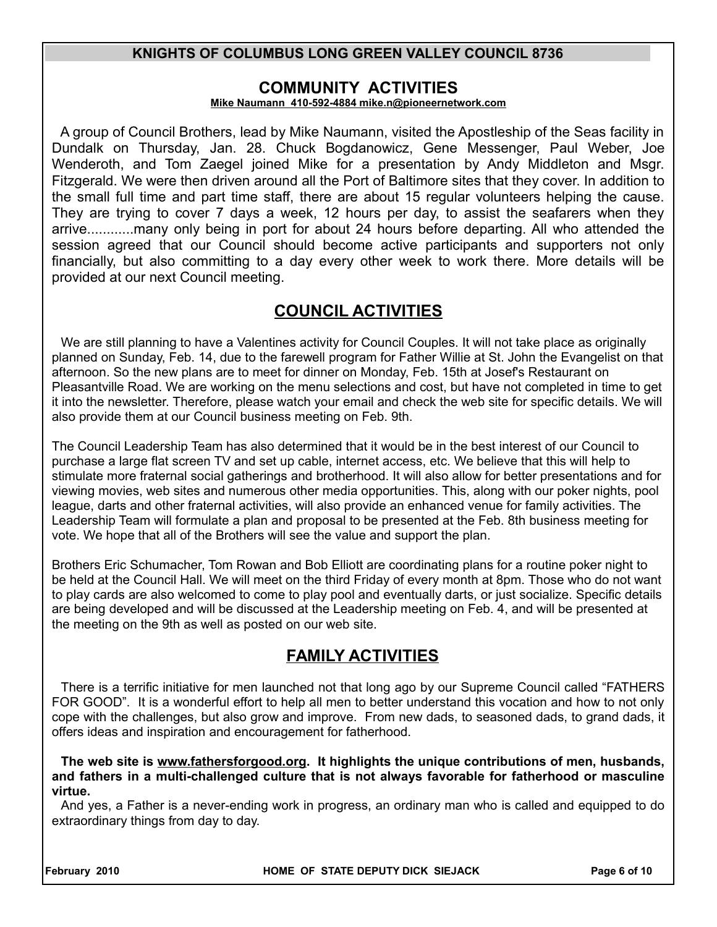### **COMMUNITY ACTIVITIES**

#### **Mike Naumann 410-592-4884 mike.n@pioneernetwork.com**

A group of Council Brothers, lead by Mike Naumann, visited the Apostleship of the Seas facility in Dundalk on Thursday, Jan. 28. Chuck Bogdanowicz, Gene Messenger, Paul Weber, Joe Wenderoth, and Tom Zaegel joined Mike for a presentation by Andy Middleton and Msgr. Fitzgerald. We were then driven around all the Port of Baltimore sites that they cover. In addition to the small full time and part time staff, there are about 15 regular volunteers helping the cause. They are trying to cover 7 days a week, 12 hours per day, to assist the seafarers when they arrive............many only being in port for about 24 hours before departing. All who attended the session agreed that our Council should become active participants and supporters not only financially, but also committing to a day every other week to work there. More details will be provided at our next Council meeting.

# **COUNCIL ACTIVITIES**

We are still planning to have a Valentines activity for Council Couples. It will not take place as originally planned on Sunday, Feb. 14, due to the farewell program for Father Willie at St. John the Evangelist on that afternoon. So the new plans are to meet for dinner on Monday, Feb. 15th at Josef's Restaurant on Pleasantville Road. We are working on the menu selections and cost, but have not completed in time to get it into the newsletter. Therefore, please watch your email and check the web site for specific details. We will also provide them at our Council business meeting on Feb. 9th.

The Council Leadership Team has also determined that it would be in the best interest of our Council to purchase a large flat screen TV and set up cable, internet access, etc. We believe that this will help to stimulate more fraternal social gatherings and brotherhood. It will also allow for better presentations and for viewing movies, web sites and numerous other media opportunities. This, along with our poker nights, pool league, darts and other fraternal activities, will also provide an enhanced venue for family activities. The Leadership Team will formulate a plan and proposal to be presented at the Feb. 8th business meeting for vote. We hope that all of the Brothers will see the value and support the plan.

Brothers Eric Schumacher, Tom Rowan and Bob Elliott are coordinating plans for a routine poker night to be held at the Council Hall. We will meet on the third Friday of every month at 8pm. Those who do not want to play cards are also welcomed to come to play pool and eventually darts, or just socialize. Specific details are being developed and will be discussed at the Leadership meeting on Feb. 4, and will be presented at the meeting on the 9th as well as posted on our web site.

# **FAMILY ACTIVITIES**

There is a terrific initiative for men launched not that long ago by our Supreme Council called "FATHERS FOR GOOD". It is a wonderful effort to help all men to better understand this vocation and how to not only cope with the challenges, but also grow and improve. From new dads, to seasoned dads, to grand dads, it offers ideas and inspiration and encouragement for fatherhood.

**The web site is www.fathersforgood.org. It highlights the unique contributions of men, husbands, and fathers in a multi-challenged culture that is not always favorable for fatherhood or masculine virtue.**

And yes, a Father is a never-ending work in progress, an ordinary man who is called and equipped to do extraordinary things from day to day.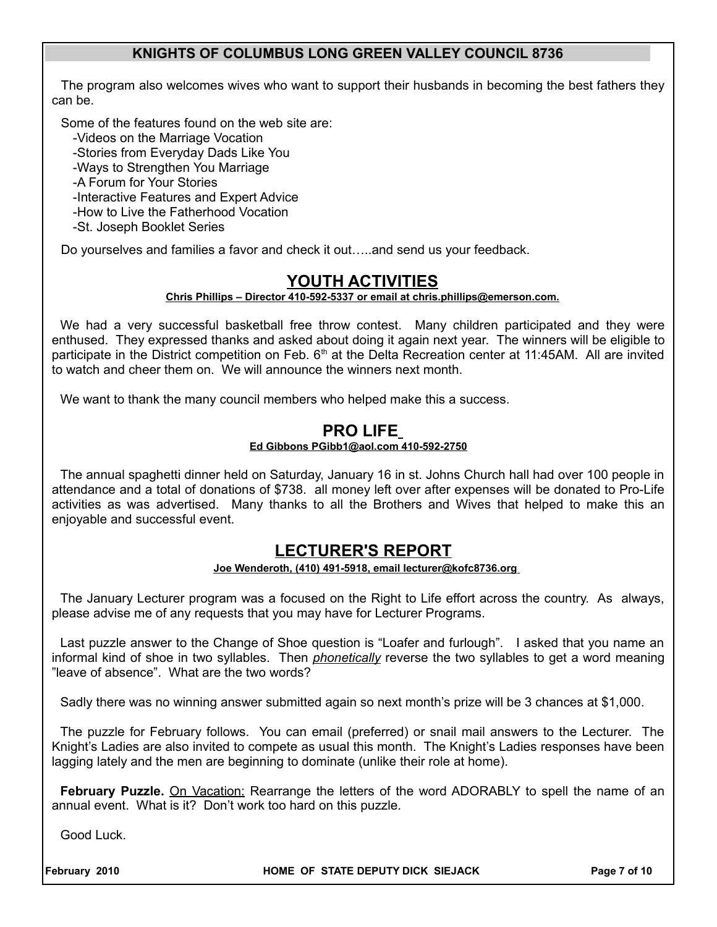The program also welcomes wives who want to support their husbands in becoming the best fathers they can be.

Some of the features found on the web site are:

-Videos on the Marriage Vocation

-Stories from Everyday Dads Like You

-Ways to Strengthen You Marriage

-A Forum for Your Stories

-Interactive Features and Expert Advice

-How to Live the Fatherhood Vocation

-St. Joseph Booklet Series

Do yourselves and families a favor and check it out…..and send us your feedback.

# **YOUTH ACTIVITIES**

#### **Chris Phillips – Director 410-592-5337 or email at chris.phillips@emerson.com.**

We had a very successful basketball free throw contest. Many children participated and they were enthused. They expressed thanks and asked about doing it again next year. The winners will be eligible to participate in the District competition on Feb. 6<sup>th</sup> at the Delta Recreation center at 11:45AM. All are invited to watch and cheer them on. We will announce the winners next month.

We want to thank the many council members who helped make this a success.

#### **PRO LIFE Ed Gibbons PGibb1@aol.com 410-592-2750**

The annual spaghetti dinner held on Saturday, January 16 in st. Johns Church hall had over 100 people in attendance and a total of donations of \$738. all money left over after expenses will be donated to Pro-Life activities as was advertised. Many thanks to all the Brothers and Wives that helped to make this an enjoyable and successful event.

### **LECTURER'S REPORT**

#### **Joe Wenderoth, (410) 491-5918, email lecturer@kofc8736.org**

The January Lecturer program was a focused on the Right to Life effort across the country. As always, please advise me of any requests that you may have for Lecturer Programs.

Last puzzle answer to the Change of Shoe question is "Loafer and furlough". I asked that you name an informal kind of shoe in two syllables. Then *phonetically* reverse the two syllables to get a word meaning "leave of absence". What are the two words?

Sadly there was no winning answer submitted again so next month's prize will be 3 chances at \$1,000.

The puzzle for February follows. You can email (preferred) or snail mail answers to the Lecturer. The Knight's Ladies are also invited to compete as usual this month. The Knight's Ladies responses have been lagging lately and the men are beginning to dominate (unlike their role at home).

February Puzzle. On Vacation: Rearrange the letters of the word ADORABLY to spell the name of an annual event. What is it? Don't work too hard on this puzzle.

Good Luck.

February 2010 **HOME OF STATE DEPUTY DICK SIEJACK** Page 7 of 10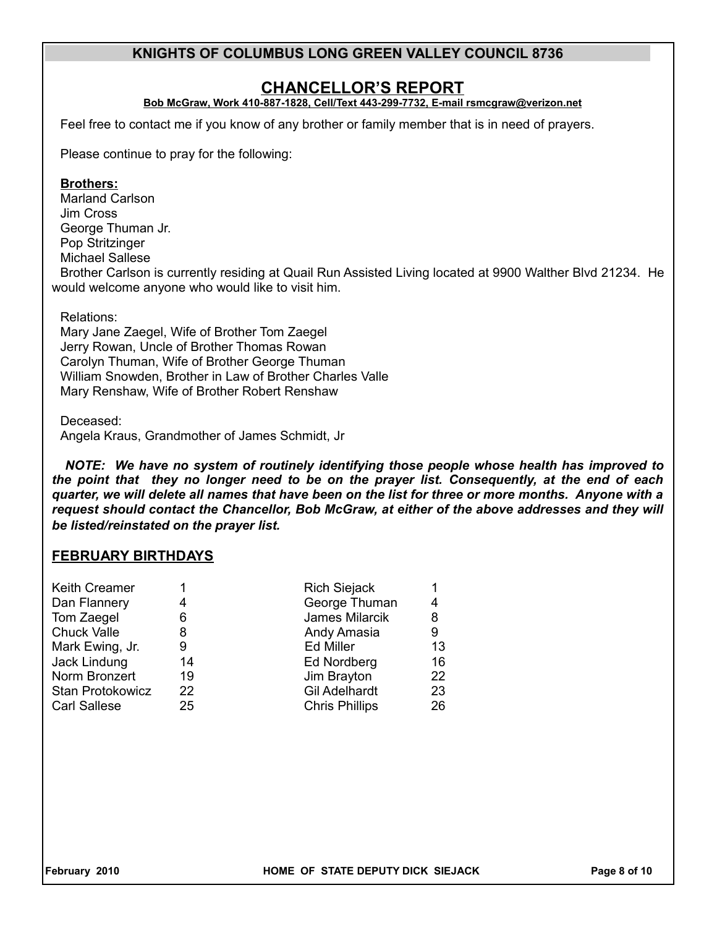### **CHANCELLOR'S REPORT**

#### **Bob McGraw, Work 410-887-1828, Cell/Text 443-299-7732, E-mail rsmcgraw@verizon.net**

Feel free to contact me if you know of any brother or family member that is in need of prayers.

Please continue to pray for the following:

#### **Brothers:**

Marland Carlson Jim Cross George Thuman Jr. Pop Stritzinger Michael Sallese

Brother Carlson is currently residing at Quail Run Assisted Living located at 9900 Walther Blvd 21234. He would welcome anyone who would like to visit him.

Relations:

Mary Jane Zaegel, Wife of Brother Tom Zaegel Jerry Rowan, Uncle of Brother Thomas Rowan Carolyn Thuman, Wife of Brother George Thuman William Snowden, Brother in Law of Brother Charles Valle Mary Renshaw, Wife of Brother Robert Renshaw

#### Deceased:

Angela Kraus, Grandmother of James Schmidt, Jr

*NOTE: We have no system of routinely identifying those people whose health has improved to the point that they no longer need to be on the prayer list. Consequently, at the end of each quarter, we will delete all names that have been on the list for three or more months. Anyone with a request should contact the Chancellor, Bob McGraw, at either of the above addresses and they will be listed/reinstated on the prayer list.*

### **FEBRUARY BIRTHDAYS**

| <b>Keith Creamer</b> |    | <b>Rich Siejack</b>   |    |
|----------------------|----|-----------------------|----|
| Dan Flannery         | 4  | George Thuman         | 4  |
| Tom Zaegel           | 6  | James Milarcik        | 8  |
| <b>Chuck Valle</b>   | 8  | Andy Amasia           | 9  |
| Mark Ewing, Jr.      | 9  | <b>Ed Miller</b>      | 13 |
| Jack Lindung         | 14 | Ed Nordberg           | 16 |
| Norm Bronzert        | 19 | Jim Brayton           | 22 |
| Stan Protokowicz     | 22 | <b>Gil Adelhardt</b>  | 23 |
| <b>Carl Sallese</b>  | 25 | <b>Chris Phillips</b> | 26 |
|                      |    |                       |    |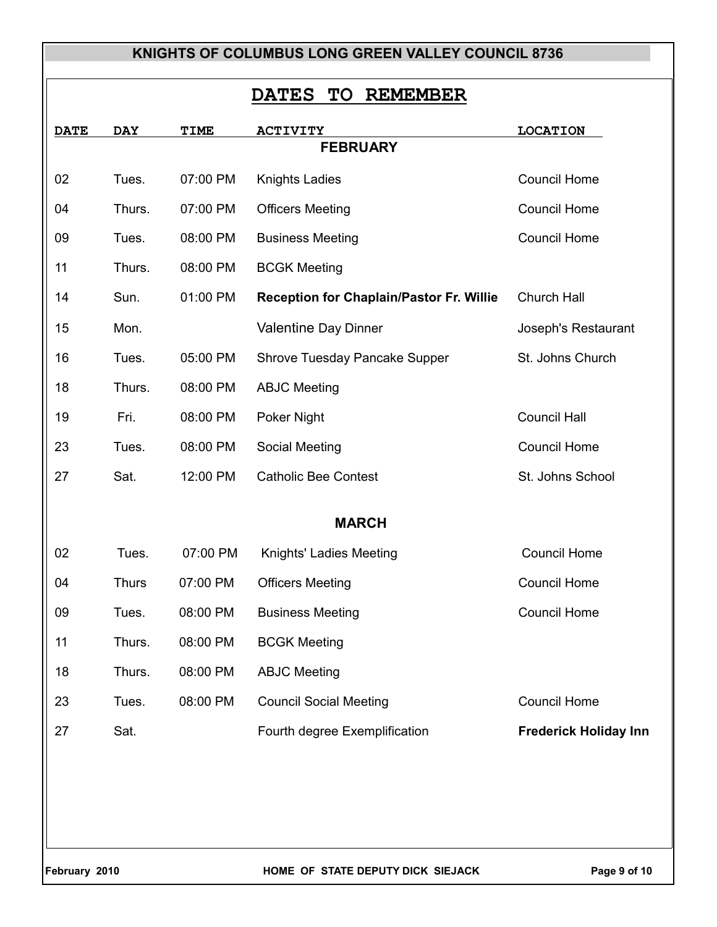# **DATES TO REMEMBER**

| <b>DATE</b> | <b>DAY</b>      | TIME     | <b>ACTIVITY</b>                                 | <b>LOCATION</b>              |  |  |
|-------------|-----------------|----------|-------------------------------------------------|------------------------------|--|--|
|             | <b>FEBRUARY</b> |          |                                                 |                              |  |  |
| 02          | Tues.           | 07:00 PM | <b>Knights Ladies</b>                           | <b>Council Home</b>          |  |  |
| 04          | Thurs.          | 07:00 PM | <b>Officers Meeting</b>                         | <b>Council Home</b>          |  |  |
| 09          | Tues.           | 08:00 PM | <b>Business Meeting</b>                         | <b>Council Home</b>          |  |  |
| 11          | Thurs.          | 08:00 PM | <b>BCGK Meeting</b>                             |                              |  |  |
| 14          | Sun.            | 01:00 PM | <b>Reception for Chaplain/Pastor Fr. Willie</b> | Church Hall                  |  |  |
| 15          | Mon.            |          | Valentine Day Dinner                            | Joseph's Restaurant          |  |  |
| 16          | Tues.           | 05:00 PM | Shrove Tuesday Pancake Supper                   | St. Johns Church             |  |  |
| 18          | Thurs.          | 08:00 PM | <b>ABJC Meeting</b>                             |                              |  |  |
| 19          | Fri.            | 08:00 PM | Poker Night                                     | <b>Council Hall</b>          |  |  |
| 23          | Tues.           | 08:00 PM | <b>Social Meeting</b>                           | <b>Council Home</b>          |  |  |
| 27          | Sat.            | 12:00 PM | <b>Catholic Bee Contest</b>                     | St. Johns School             |  |  |
|             |                 |          |                                                 |                              |  |  |
|             |                 |          | <b>MARCH</b>                                    |                              |  |  |
| 02          | Tues.           | 07:00 PM | Knights' Ladies Meeting                         | <b>Council Home</b>          |  |  |
| 04          | <b>Thurs</b>    | 07:00 PM | <b>Officers Meeting</b>                         | <b>Council Home</b>          |  |  |
| 09          | Tues.           | 08:00 PM | <b>Business Meeting</b>                         | <b>Council Home</b>          |  |  |
| 11          | Thurs.          | 08:00 PM | <b>BCGK Meeting</b>                             |                              |  |  |
| 18          | Thurs.          | 08:00 PM | <b>ABJC Meeting</b>                             |                              |  |  |
| 23          | Tues.           | 08:00 PM | <b>Council Social Meeting</b>                   | <b>Council Home</b>          |  |  |
| 27          | Sat.            |          | Fourth degree Exemplification                   | <b>Frederick Holiday Inn</b> |  |  |
|             |                 |          |                                                 |                              |  |  |
|             |                 |          |                                                 |                              |  |  |
|             |                 |          |                                                 |                              |  |  |
|             |                 |          |                                                 |                              |  |  |